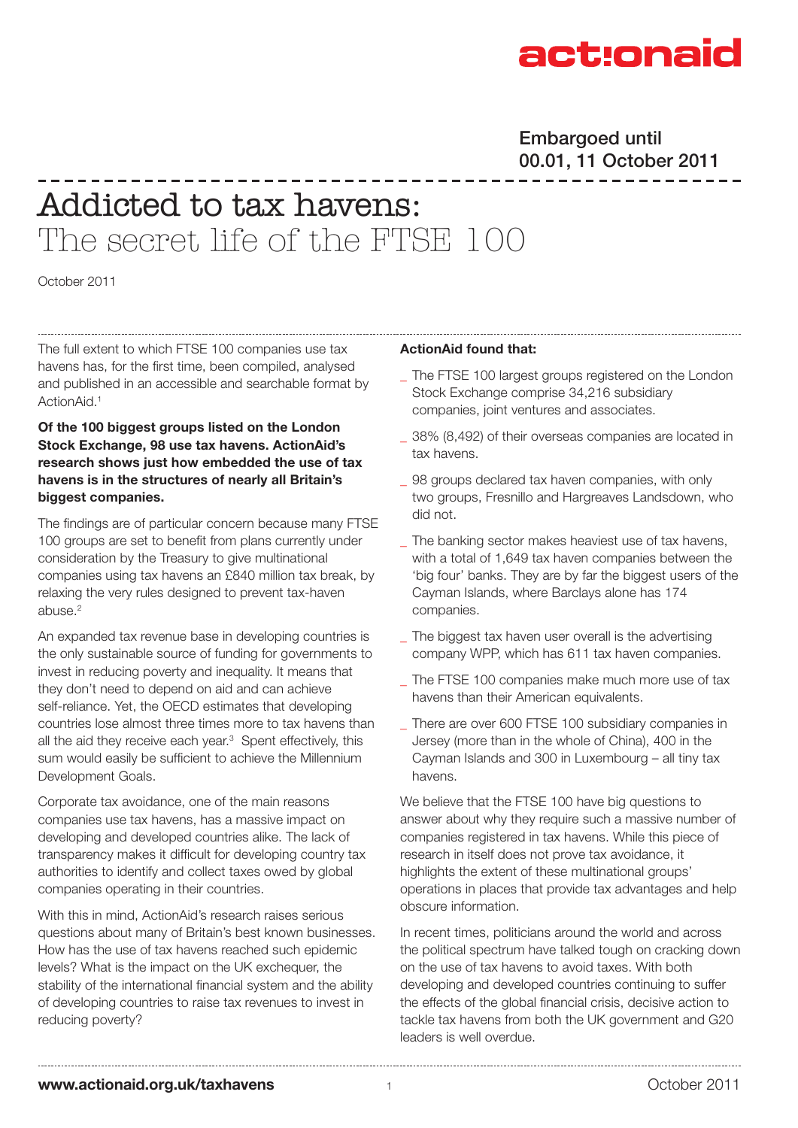

# Embargoed until 00.01, 11 October 2011

# Addicted to tax havens: The secret life of the FTSE 100

October 2011

The full extent to which FTSE 100 companies use tax havens has, for the first time, been compiled, analysed and published in an accessible and searchable format by ActionAid.<sup>1</sup>

## **Of the 100 biggest groups listed on the London Stock Exchange, 98 use tax havens. ActionAid's research shows just how embedded the use of tax havens is in the structures of nearly all Britain's biggest companies.**

The findings are of particular concern because many FTSE 100 groups are set to benefit from plans currently under consideration by the Treasury to give multinational companies using tax havens an £840 million tax break, by relaxing the very rules designed to prevent tax-haven abuse.2

An expanded tax revenue base in developing countries is the only sustainable source of funding for governments to invest in reducing poverty and inequality. It means that they don't need to depend on aid and can achieve self-reliance. Yet, the OECD estimates that developing countries lose almost three times more to tax havens than all the aid they receive each year.<sup>3</sup> Spent effectively, this sum would easily be sufficient to achieve the Millennium Development Goals.

Corporate tax avoidance, one of the main reasons companies use tax havens, has a massive impact on developing and developed countries alike. The lack of transparency makes it difficult for developing country tax authorities to identify and collect taxes owed by global companies operating in their countries.

With this in mind, ActionAid's research raises serious questions about many of Britain's best known businesses. How has the use of tax havens reached such epidemic levels? What is the impact on the UK exchequer, the stability of the international financial system and the ability of developing countries to raise tax revenues to invest in reducing poverty?

## **ActionAid found that:**

- The FTSE 100 largest groups registered on the London Stock Exchange comprise 34,216 subsidiary companies, joint ventures and associates.
- 38% (8,492) of their overseas companies are located in tax havens.
- 98 groups declared tax haven companies, with only two groups, Fresnillo and Hargreaves Landsdown, who did not.
- The banking sector makes heaviest use of tax havens, with a total of 1,649 tax haven companies between the 'big four' banks. They are by far the biggest users of the Cayman Islands, where Barclays alone has 174 companies.
- The biggest tax haven user overall is the advertising company WPP, which has 611 tax haven companies.
- The FTSE 100 companies make much more use of tax havens than their American equivalents.
- There are over 600 FTSE 100 subsidiary companies in Jersey (more than in the whole of China), 400 in the Cayman Islands and 300 in Luxembourg – all tiny tax havens.

We believe that the FTSE 100 have big questions to answer about why they require such a massive number of companies registered in tax havens. While this piece of research in itself does not prove tax avoidance, it highlights the extent of these multinational groups' operations in places that provide tax advantages and help obscure information.

In recent times, politicians around the world and across the political spectrum have talked tough on cracking down on the use of tax havens to avoid taxes. With both developing and developed countries continuing to suffer the effects of the global financial crisis, decisive action to tackle tax havens from both the UK government and G20 leaders is well overdue.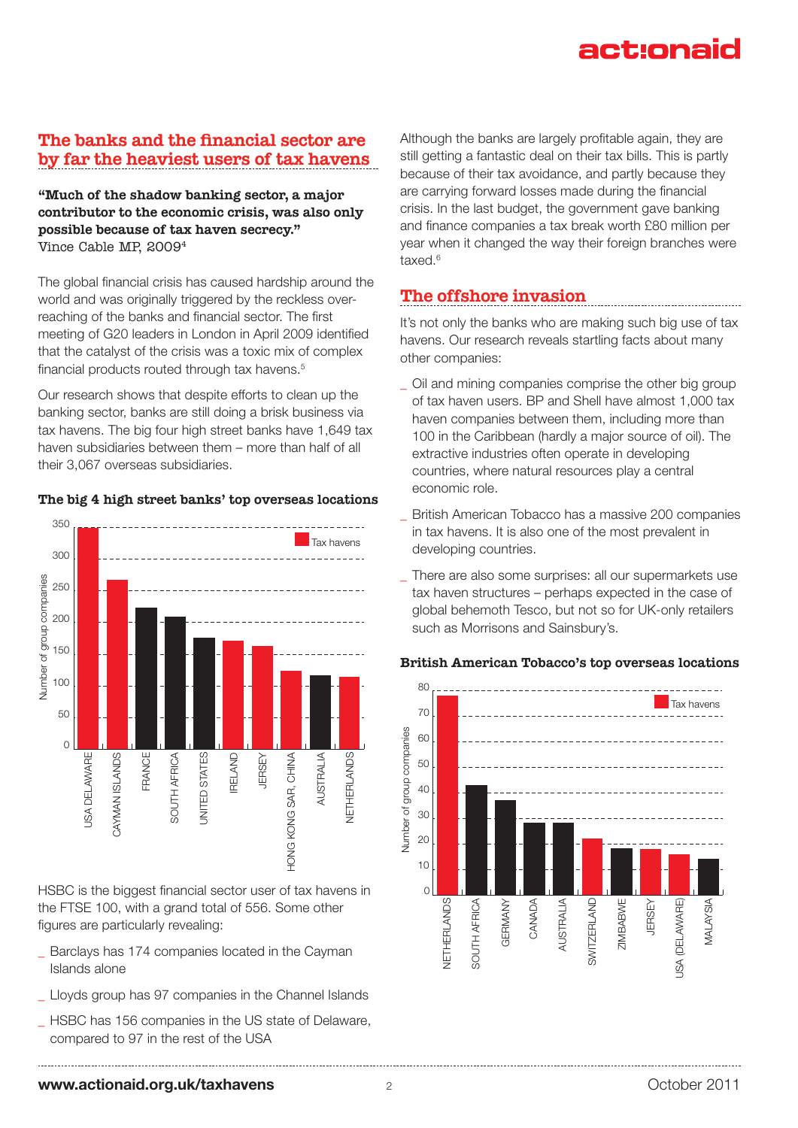# The banks and the financial sector are by far the heaviest users of tax havens

"Much of the shadow banking sector, a major contributor to the economic crisis, was also only possible because of tax haven secrecy." Vince Cable MP, 20094

The global financial crisis has caused hardship around the world and was originally triggered by the reckless overreaching of the banks and financial sector. The first meeting of G20 leaders in London in April 2009 identified that the catalyst of the crisis was a toxic mix of complex financial products routed through tax havens.<sup>5</sup>

Our research shows that despite efforts to clean up the banking sector, banks are still doing a brisk business via tax havens. The big four high street banks have 1,649 tax haven subsidiaries between them – more than half of all their 3,067 overseas subsidiaries.

## The big 4 high street banks' top overseas locations



HSBC is the biggest financial sector user of tax havens in the FTSE 100, with a grand total of 556. Some other figures are particularly revealing:

- Barclays has 174 companies located in the Cayman Islands alone
- Lloyds group has 97 companies in the Channel Islands
- HSBC has 156 companies in the US state of Delaware, compared to 97 in the rest of the USA

Although the banks are largely profitable again, they are still getting a fantastic deal on their tax bills. This is partly because of their tax avoidance, and partly because they are carrying forward losses made during the financial crisis. In the last budget, the government gave banking and finance companies a tax break worth £80 million per year when it changed the way their foreign branches were taxed.6

# The offshore invasion

It's not only the banks who are making such big use of tax havens. Our research reveals startling facts about many other companies:

- \_ Oil and mining companies comprise the other big group of tax haven users. BP and Shell have almost 1,000 tax haven companies between them, including more than 100 in the Caribbean (hardly a major source of oil). The extractive industries often operate in developing countries, where natural resources play a central economic role.
- British American Tobacco has a massive 200 companies in tax havens. It is also one of the most prevalent in developing countries.
- There are also some surprises: all our supermarkets use tax haven structures – perhaps expected in the case of global behemoth Tesco, but not so for UK-only retailers such as Morrisons and Sainsbury's.

## British American Tobacco's top overseas locations

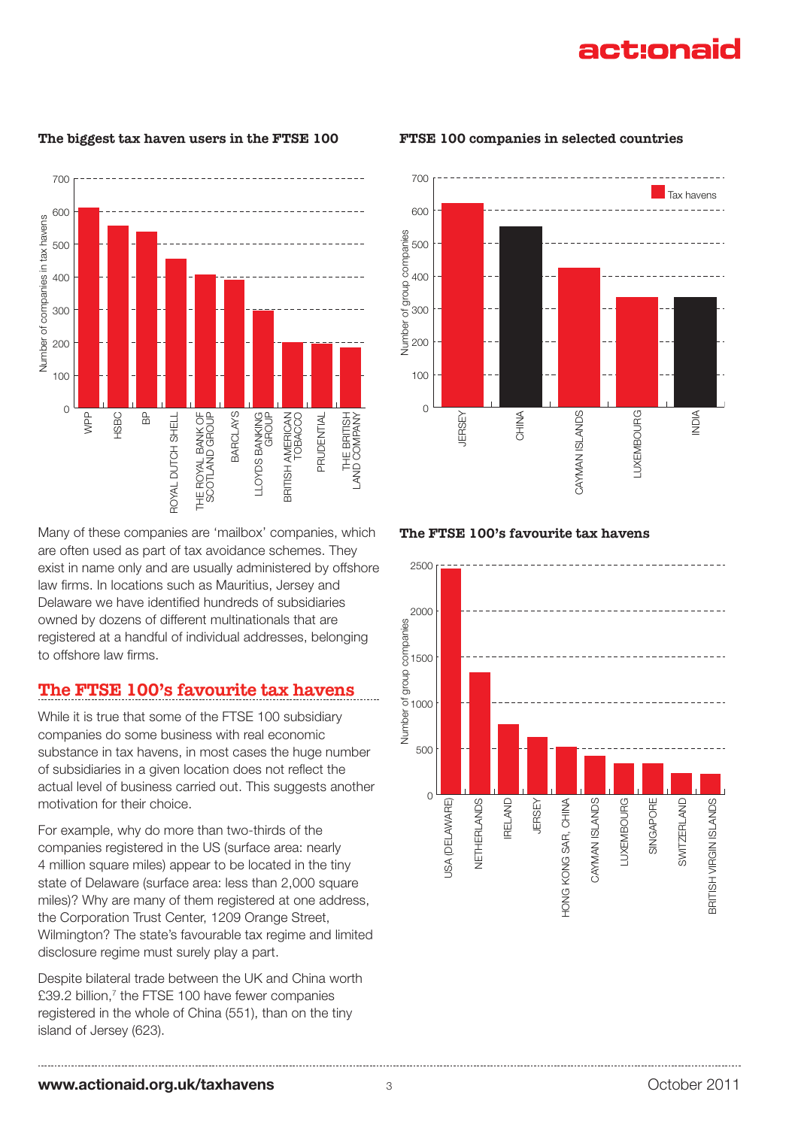The biggest tax haven users in the FTSE 100



Many of these companies are 'mailbox' companies, which are often used as part of tax avoidance schemes. They exist in name only and are usually administered by offshore law firms. In locations such as Mauritius, Jersey and Delaware we have identified hundreds of subsidiaries owned by dozens of different multinationals that are registered at a handful of individual addresses, belonging to offshore law firms.

# The FTSE 100's favourite tax havens

While it is true that some of the FTSE 100 subsidiary companies do some business with real economic substance in tax havens, in most cases the huge number of subsidiaries in a given location does not reflect the actual level of business carried out. This suggests another motivation for their choice.

For example, why do more than two-thirds of the companies registered in the US (surface area: nearly 4 million square miles) appear to be located in the tiny state of Delaware (surface area: less than 2,000 square miles)? Why are many of them registered at one address, the Corporation Trust Center, 1209 Orange Street, Wilmington? The state's favourable tax regime and limited disclosure regime must surely play a part.

Despite bilateral trade between the UK and China worth £39.2 billion, $7$  the FTSE 100 have fewer companies registered in the whole of China (551), than on the tiny island of Jersey (623).



#### FTSE 100 companies in selected countries

### The FTSE 100's favourite tax havens

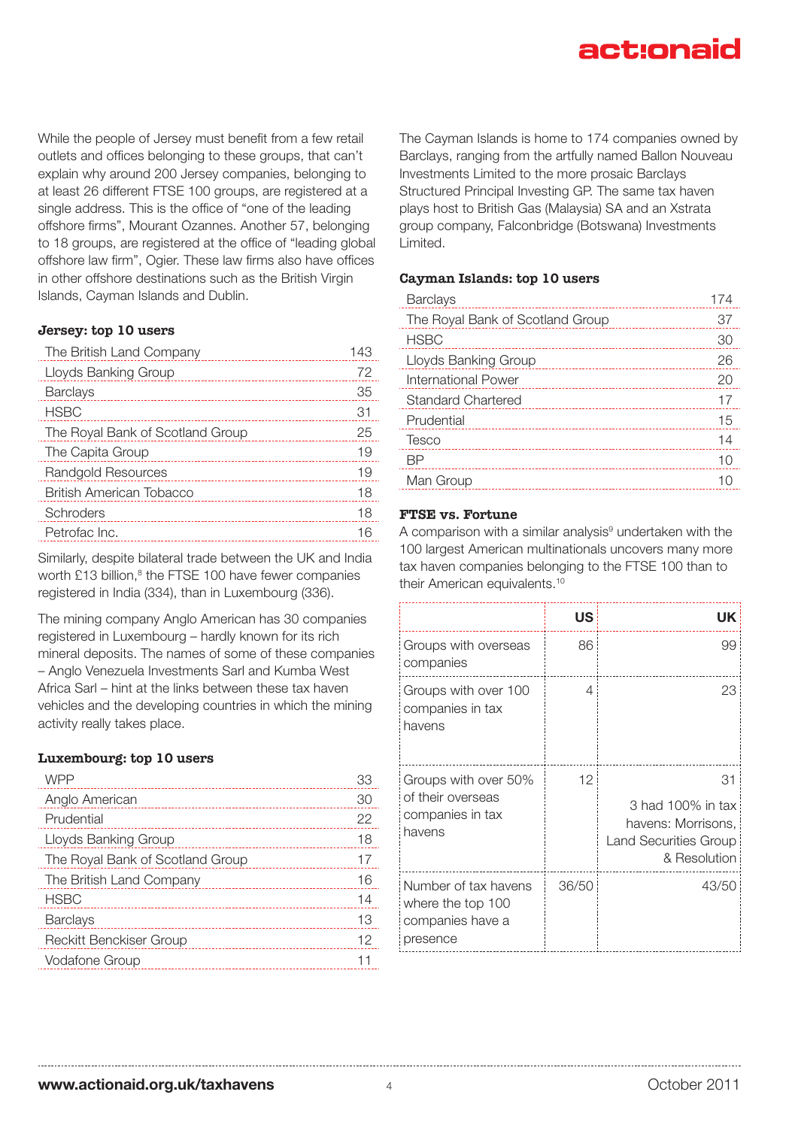While the people of Jersey must benefit from a few retail outlets and offices belonging to these groups, that can't explain why around 200 Jersey companies, belonging to at least 26 different FTSE 100 groups, are registered at a single address. This is the office of "one of the leading offshore firms", Mourant Ozannes. Another 57, belonging to 18 groups, are registered at the office of "leading global offshore law firm", Ogier. These law firms also have offices in other offshore destinations such as the British Virgin Islands, Cayman Islands and Dublin.

## Jersey: top 10 users

| The British Land Company         | 143 |
|----------------------------------|-----|
| Lloyds Banking Group             | 72  |
| <b>Barclays</b>                  | 35  |
| <b>HSBC</b>                      | 31  |
| The Royal Bank of Scotland Group | 25  |
| The Capita Group                 | 19  |
| Randgold Resources               | 19  |
| British American Tobacco         | 18  |
| Schroders                        | 18  |
| Petrofac Inc.                    |     |

Similarly, despite bilateral trade between the UK and India worth £13 billion,<sup>8</sup> the FTSE 100 have fewer companies registered in India (334), than in Luxembourg (336).

The mining company Anglo American has 30 companies registered in Luxembourg – hardly known for its rich mineral deposits. The names of some of these companies – Anglo Venezuela Investments Sarl and Kumba West Africa Sarl – hint at the links between these tax haven vehicles and the developing countries in which the mining activity really takes place.

### Luxembourg: top 10 users

| WPP                              | 33 |
|----------------------------------|----|
| Anglo American                   | 30 |
| Prudential                       | 22 |
| Lloyds Banking Group             | 18 |
| The Royal Bank of Scotland Group | 17 |
| The British Land Company         | 16 |
| <b>HSBC</b>                      | 14 |
| Barclays                         | 13 |
| Reckitt Benckiser Group          | 12 |
| Vodafone Group                   |    |

The Cayman Islands is home to 174 companies owned by Barclays, ranging from the artfully named Ballon Nouveau Investments Limited to the more prosaic Barclays Structured Principal Investing GP. The same tax haven plays host to British Gas (Malaysia) SA and an Xstrata group company, Falconbridge (Botswana) Investments Limited.

### Cayman Islands: top 10 users

| <b>Barclays</b>                  | 174 |
|----------------------------------|-----|
| The Royal Bank of Scotland Group | 37  |
| <b>HSBC</b>                      | 30  |
| Lloyds Banking Group             | 26  |
| International Power              | 20  |
| <b>Standard Chartered</b>        | 17  |
| Prudential                       | 15  |
| Tesco                            | 14  |
| RР                               | 10  |
| Man Group                        |     |
|                                  |     |

## FTSE vs. Fortune

A comparison with a similar analysis<sup>9</sup> undertaken with the 100 largest American multinationals uncovers many more tax haven companies belonging to the FTSE 100 than to their American equivalents.<sup>10</sup>

|                                                                           | US    | UK                                                                                     |
|---------------------------------------------------------------------------|-------|----------------------------------------------------------------------------------------|
| Groups with overseas<br>companies                                         | 86    | 99                                                                                     |
| Groups with over 100<br>companies in tax<br>havens                        | 4     | 23                                                                                     |
| Groups with over 50%<br>of their overseas<br>companies in tax<br>havens   | 12    | 31<br>3 had 100% in tax<br>havens: Morrisons,<br>Land Securities Group<br>& Resolution |
| Number of tax havens<br>where the top 100<br>companies have a<br>presence | 36/50 | 43/50                                                                                  |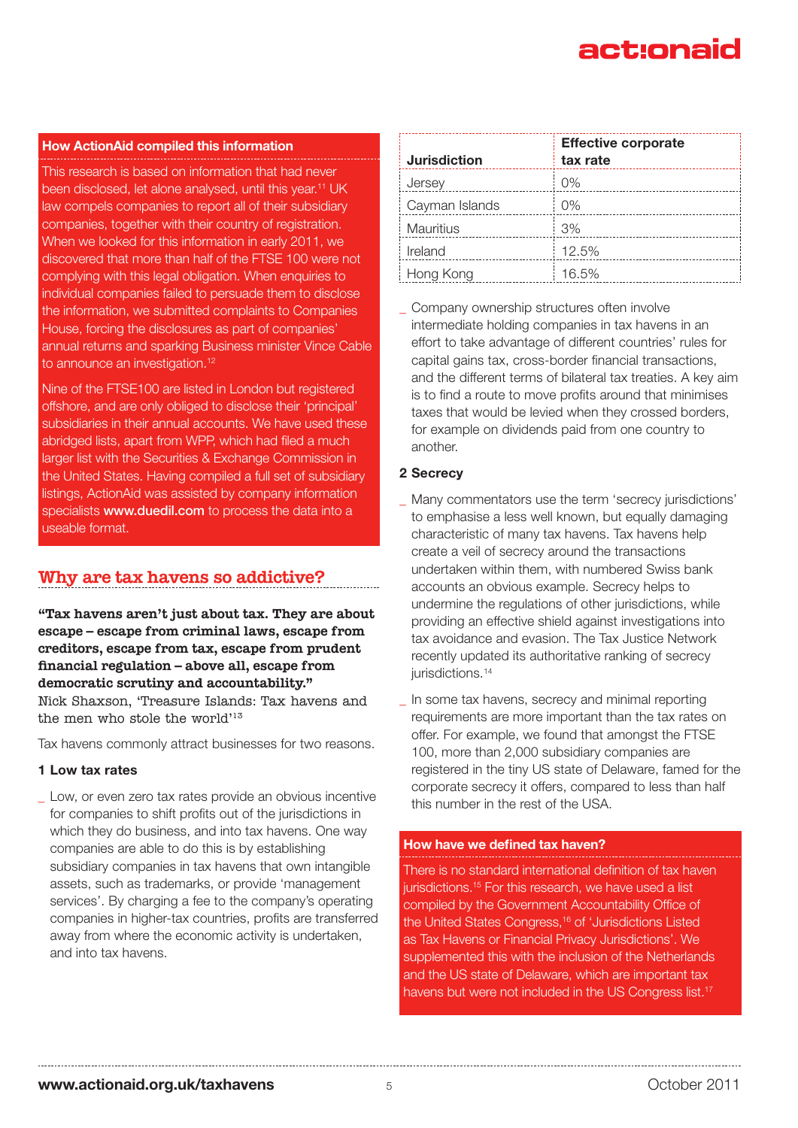### **How ActionAid compiled this information**

This research is based on information that had never been disclosed, let alone analysed, until this year.<sup>11</sup> UK law compels companies to report all of their subsidiary companies, together with their country of registration. When we looked for this information in early 2011, we discovered that more than half of the FTSE 100 were not complying with this legal obligation. When enquiries to individual companies failed to persuade them to disclose the information, we submitted complaints to Companies House, forcing the disclosures as part of companies' annual returns and sparking Business minister Vince Cable to announce an investigation.<sup>12</sup>

Nine of the FTSE100 are listed in London but registered offshore, and are only obliged to disclose their 'principal' subsidiaries in their annual accounts. We have used these abridged lists, apart from WPP, which had filed a much larger list with the Securities & Exchange Commission in the United States. Having compiled a full set of subsidiary listings, ActionAid was assisted by company information specialists www.duedil.com to process the data into a useable format.

## Why are tax havens so addictive?

"Tax havens aren't just about tax. They are about escape – escape from criminal laws, escape from creditors, escape from tax, escape from prudent financial regulation – above all, escape from democratic scrutiny and accountability." Nick Shaxson, 'Treasure Islands: Tax havens and the men who stole the world'<sup>13</sup>

Tax havens commonly attract businesses for two reasons.

#### **1 Low tax rates**

Low, or even zero tax rates provide an obvious incentive for companies to shift profits out of the jurisdictions in which they do business, and into tax havens. One way companies are able to do this is by establishing subsidiary companies in tax havens that own intangible assets, such as trademarks, or provide 'management services'. By charging a fee to the company's operating companies in higher-tax countries, profits are transferred away from where the economic activity is undertaken, and into tax havens.

| <b>Jurisdiction</b> | <b>Effective corporate</b><br>tax rate |
|---------------------|----------------------------------------|
| Jersey              | $0\%$                                  |
| Cayman Islands      | $0\%$                                  |
| <b>Mauritius</b>    | 3%                                     |
| Ireland             | 12.5%                                  |
| Hong Kong           | 16.5%                                  |

Company ownership structures often involve intermediate holding companies in tax havens in an effort to take advantage of different countries' rules for capital gains tax, cross-border financial transactions, and the different terms of bilateral tax treaties. A key aim is to find a route to move profits around that minimises taxes that would be levied when they crossed borders, for example on dividends paid from one country to another.

### **2 Secrecy**

Many commentators use the term 'secrecy jurisdictions' to emphasise a less well known, but equally damaging characteristic of many tax havens. Tax havens help create a veil of secrecy around the transactions undertaken within them, with numbered Swiss bank accounts an obvious example. Secrecy helps to undermine the regulations of other jurisdictions, while providing an effective shield against investigations into tax avoidance and evasion. The Tax Justice Network recently updated its authoritative ranking of secrecy jurisdictions.<sup>14</sup>

In some tax havens, secrecy and minimal reporting requirements are more important than the tax rates on offer. For example, we found that amongst the FTSE 100, more than 2,000 subsidiary companies are registered in the tiny US state of Delaware, famed for the corporate secrecy it offers, compared to less than half this number in the rest of the USA.

## **How have we defined tax haven?**

There is no standard international definition of tax haven jurisdictions.<sup>15</sup> For this research, we have used a list compiled by the Government Accountability Office of the United States Congress,<sup>16</sup> of 'Jurisdictions Listed as Tax Havens or Financial Privacy Jurisdictions'. We supplemented this with the inclusion of the Netherlands and the US state of Delaware, which are important tax havens but were not included in the US Congress list.<sup>17</sup>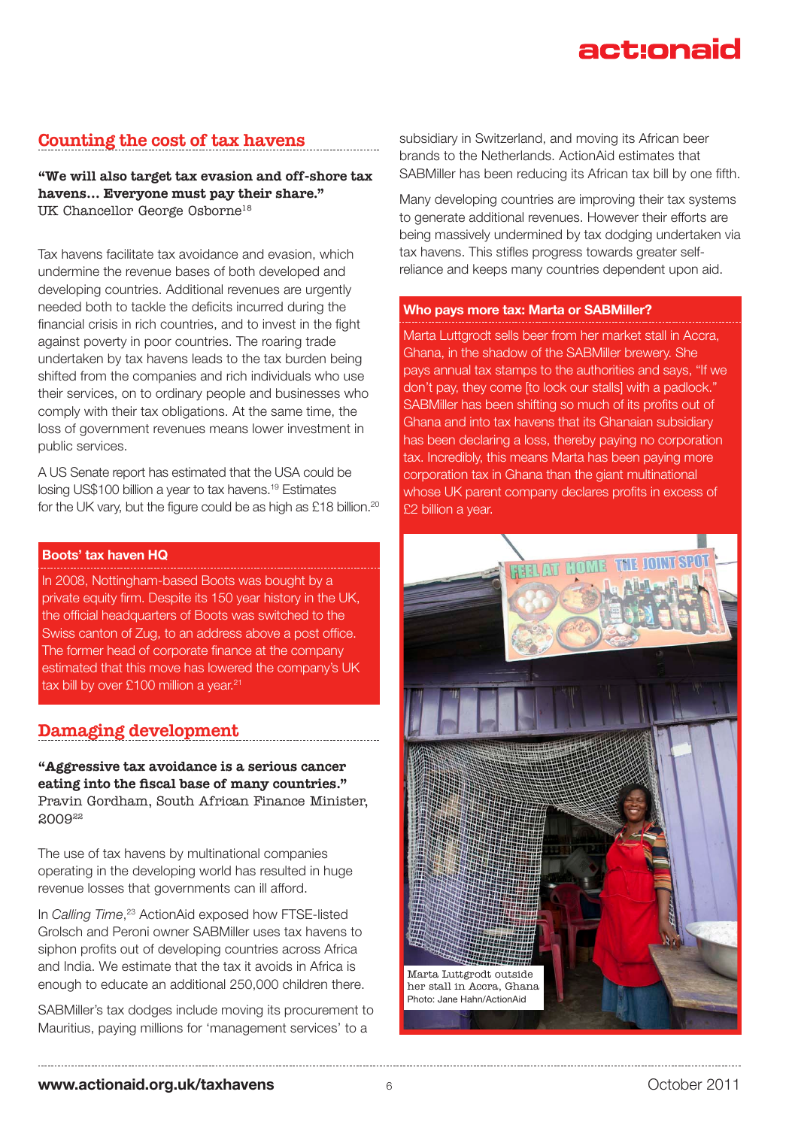## Counting the cost of tax havens

"We will also target tax evasion and off-shore tax havens… Everyone must pay their share." UK Chancellor George Osborne18

Tax havens facilitate tax avoidance and evasion, which undermine the revenue bases of both developed and developing countries. Additional revenues are urgently needed both to tackle the deficits incurred during the financial crisis in rich countries, and to invest in the fight against poverty in poor countries. The roaring trade undertaken by tax havens leads to the tax burden being shifted from the companies and rich individuals who use their services, on to ordinary people and businesses who comply with their tax obligations. At the same time, the loss of government revenues means lower investment in public services.

A US Senate report has estimated that the USA could be losing US\$100 billion a year to tax havens.19 Estimates for the UK vary, but the figure could be as high as £18 billion.<sup>20</sup>

## **Boots' tax haven HQ**

In 2008, Nottingham-based Boots was bought by a private equity firm. Despite its 150 year history in the UK, the official headquarters of Boots was switched to the Swiss canton of Zug, to an address above a post office. The former head of corporate finance at the company estimated that this move has lowered the company's UK tax bill by over £100 million a year.<sup>21</sup>

## Damaging development

"Aggressive tax avoidance is a serious cancer eating into the fiscal base of many countries." Pravin Gordham, South African Finance Minister, 2009<sup>22</sup>

The use of tax havens by multinational companies operating in the developing world has resulted in huge revenue losses that governments can ill afford.

In *Calling Time*, 23 ActionAid exposed how FTSE-listed Grolsch and Peroni owner SABMiller uses tax havens to siphon profits out of developing countries across Africa and India. We estimate that the tax it avoids in Africa is enough to educate an additional 250,000 children there.

SABMiller's tax dodges include moving its procurement to Mauritius, paying millions for 'management services' to a

subsidiary in Switzerland, and moving its African beer brands to the Netherlands. ActionAid estimates that SABMiller has been reducing its African tax bill by one fifth.

Many developing countries are improving their tax systems to generate additional revenues. However their efforts are being massively undermined by tax dodging undertaken via tax havens. This stifles progress towards greater selfreliance and keeps many countries dependent upon aid.

### **Who pays more tax: Marta or SABMiller?**

Marta Luttgrodt sells beer from her market stall in Accra, Ghana, in the shadow of the SABMiller brewery. She pays annual tax stamps to the authorities and says, "If we don't pay, they come [to lock our stalls] with a padlock." SABMiller has been shifting so much of its profits out of Ghana and into tax havens that its Ghanaian subsidiary has been declaring a loss, thereby paying no corporation tax. Incredibly, this means Marta has been paying more corporation tax in Ghana than the giant multinational whose UK parent company declares profits in excess of £2 billion a year.

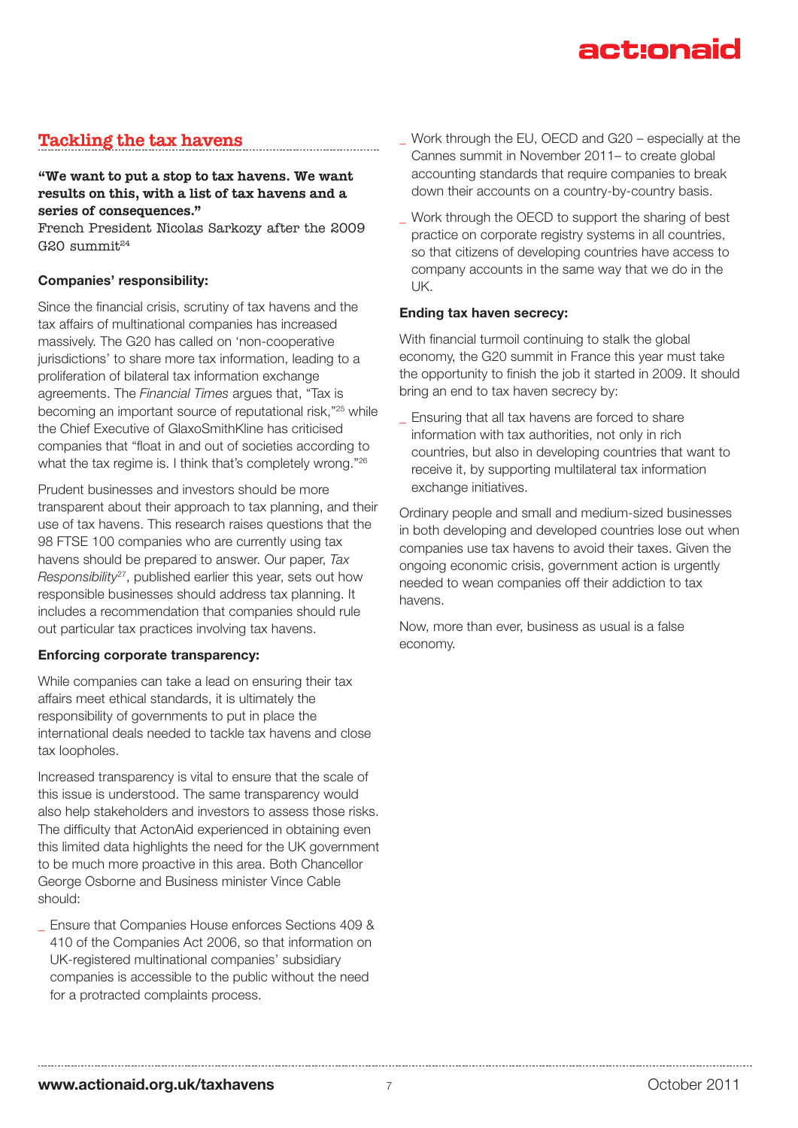## Tackling the tax havens

## "We want to put a stop to tax havens. We want results on this, with a list of tax havens and a series of consequences."

French President Nicolas Sarkozy after the 2009  $G20$  summit $^{24}$ 

## **Companies' responsibility:**

Since the financial crisis, scrutiny of tax havens and the tax affairs of multinational companies has increased massively. The G20 has called on 'non-cooperative jurisdictions' to share more tax information, leading to a proliferation of bilateral tax information exchange agreements. The *Financial Times* argues that, "Tax is becoming an important source of reputational risk,"25 while the Chief Executive of GlaxoSmithKline has criticised companies that "float in and out of societies according to what the tax regime is. I think that's completely wrong."<sup>26</sup>

Prudent businesses and investors should be more transparent about their approach to tax planning, and their use of tax havens. This research raises questions that the 98 FTSE 100 companies who are currently using tax havens should be prepared to answer. Our paper, *Tax Responsibility*27, published earlier this year, sets out how responsible businesses should address tax planning. It includes a recommendation that companies should rule out particular tax practices involving tax havens.

### **Enforcing corporate transparency:**

While companies can take a lead on ensuring their tax affairs meet ethical standards, it is ultimately the responsibility of governments to put in place the international deals needed to tackle tax havens and close tax loopholes.

Increased transparency is vital to ensure that the scale of this issue is understood. The same transparency would also help stakeholders and investors to assess those risks. The difficulty that ActonAid experienced in obtaining even this limited data highlights the need for the UK government to be much more proactive in this area. Both Chancellor George Osborne and Business minister Vince Cable should:

\_ Ensure that Companies House enforces Sections 409 & 410 of the Companies Act 2006, so that information on UK-registered multinational companies' subsidiary companies is accessible to the public without the need for a protracted complaints process.

- Work through the EU, OECD and G20 especially at the Cannes summit in November 2011– to create global accounting standards that require companies to break down their accounts on a country-by-country basis.
- Work through the OECD to support the sharing of best practice on corporate registry systems in all countries, so that citizens of developing countries have access to company accounts in the same way that we do in the UK.

### **Ending tax haven secrecy:**

With financial turmoil continuing to stalk the global economy, the G20 summit in France this year must take the opportunity to finish the job it started in 2009. It should bring an end to tax haven secrecy by:

Ensuring that all tax havens are forced to share information with tax authorities, not only in rich countries, but also in developing countries that want to receive it, by supporting multilateral tax information exchange initiatives.

Ordinary people and small and medium-sized businesses in both developing and developed countries lose out when companies use tax havens to avoid their taxes. Given the ongoing economic crisis, government action is urgently needed to wean companies off their addiction to tax havens.

Now, more than ever, business as usual is a false economy.